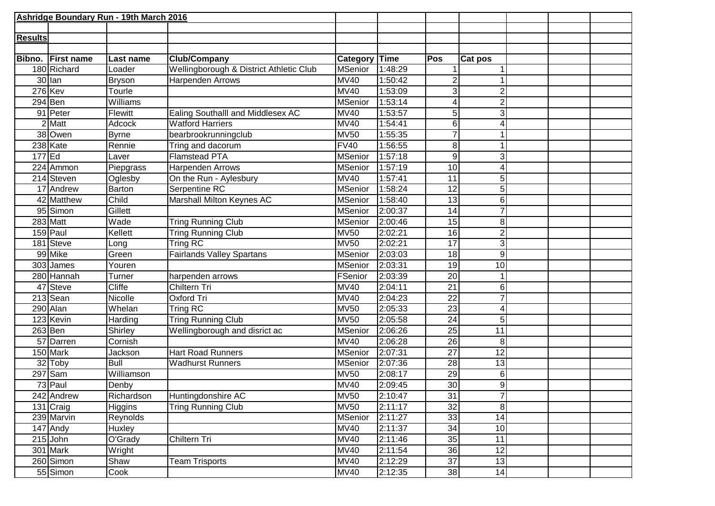|                | Ashridge Boundary Run - 19th March 2016 |              |                                         |                |         |                  |                |  |  |
|----------------|-----------------------------------------|--------------|-----------------------------------------|----------------|---------|------------------|----------------|--|--|
|                |                                         |              |                                         |                |         |                  |                |  |  |
| <b>Results</b> |                                         |              |                                         |                |         |                  |                |  |  |
|                |                                         |              |                                         |                |         |                  |                |  |  |
| Bibno.         | <b>First name</b>                       | Last name    | <b>Club/Company</b>                     | Category       | Time    | Pos              | Cat pos        |  |  |
|                | 180 Richard                             | Loader       | Wellingborough & District Athletic Club | <b>MSenior</b> | 1:48:29 |                  |                |  |  |
|                | $30$ lan                                | Bryson       | Harpenden Arrows                        | <b>MV40</b>    | 1:50:42 | $\overline{2}$   |                |  |  |
|                | $276$ <sup>Kev</sup>                    | Tourle       |                                         | <b>MV40</b>    | 1:53:09 | 3                | $\overline{2}$ |  |  |
|                | $294$ Ben                               | Williams     |                                         | <b>MSenior</b> | 1:53:14 |                  | $\mathbf{2}$   |  |  |
|                | 91 Peter                                | Flewitt      | Ealing Southalll and Middlesex AC       | <b>MV40</b>    | 1:53:57 | 5 <sup>1</sup>   | $\overline{3}$ |  |  |
|                | $2$ Matt                                | Adcock       | <b>Watford Harriers</b>                 | <b>MV40</b>    | 1:54:41 | $6 \mid$         | 4              |  |  |
|                | 38 Owen                                 | <b>Byrne</b> | bearbrookrunningclub                    | <b>MV50</b>    | 1:55:35 |                  |                |  |  |
|                | 238 Kate                                | Rennie       | Tring and dacorum                       | <b>FV40</b>    | 1:56:55 | 8                |                |  |  |
| 177 Ed         |                                         | Laver        | <b>Flamstead PTA</b>                    | <b>MSenior</b> | 1:57:18 | 9                | $\overline{3}$ |  |  |
|                | 224 Ammon                               | Piepgrass    | Harpenden Arrows                        | <b>MSenior</b> | 1:57:19 | 10 <sup>1</sup>  | 4              |  |  |
|                | 214 Steven                              | Oglesby      | On the Run - Aylesbury                  | <b>MV40</b>    | 1:57:41 | $\overline{11}$  | 5 <sup>1</sup> |  |  |
|                | 17 Andrew                               | Barton       | Serpentine RC                           | <b>MSenior</b> | 1:58:24 | $\overline{12}$  | 5 <sup>1</sup> |  |  |
|                | 42 Matthew                              | Child        | Marshall Milton Keynes AC               | <b>MSenior</b> | 1:58:40 | 13               | 6 <sup>1</sup> |  |  |
|                | 95 Simon                                | Gillett      |                                         | <b>MSenior</b> | 2:00:37 | 14               | 7              |  |  |
|                | 283 Matt                                | Wade         | <b>Tring Running Club</b>               | <b>MSenior</b> | 2:00:46 | 15               | 8 <sup>1</sup> |  |  |
|                | $159$ Paul                              | Kellett      | <b>Tring Running Club</b>               | <b>MV50</b>    | 2:02:21 | 16               | $\mathbf{2}$   |  |  |
|                | 181 Steve                               | Long         | Tring RC                                | <b>MV50</b>    | 2:02:21 | $\overline{17}$  | $\overline{3}$ |  |  |
|                | 99 Mike                                 | Green        | <b>Fairlands Valley Spartans</b>        | <b>MSenior</b> | 2:03:03 | 18               | $\mathsf{g}$   |  |  |
|                | 303 James                               | Youren       |                                         | <b>MSenior</b> | 2:03:31 | 19               | 10             |  |  |
|                | 280 Hannah                              | Turner       | harpenden arrows                        | FSenior        | 2:03:39 | $\overline{20}$  |                |  |  |
|                | 47 Steve                                | Cliffe       | Chiltern Tri                            | <b>MV40</b>    | 2:04:11 | 21               | $6 \mid$       |  |  |
|                | 213 Sean                                | Nicolle      | Oxford Tri                              | <b>MV40</b>    | 2:04:23 | 22               | 7              |  |  |
|                | 290 Alan                                | Whelan       | Tring RC                                | <b>MV50</b>    | 2:05:33 | 23               | 4              |  |  |
|                | 123 Kevin                               | Harding      | <b>Tring Running Club</b>               | <b>MV50</b>    | 2:05:58 | 24               | 5 <sup>1</sup> |  |  |
|                | $263$ Ben                               | Shirley      | Wellingborough and disrict ac           | <b>MSenior</b> | 2:06:26 | $\overline{25}$  | 11             |  |  |
|                | 57 Darren                               | Cornish      |                                         | <b>MV40</b>    | 2:06:28 | 26               | $\bf{8}$       |  |  |
|                | 150 Mark                                | Jackson      | <b>Hart Road Runners</b>                | <b>MSenior</b> | 2:07:31 | 27               | 12             |  |  |
|                | 32 Toby                                 | <b>Bull</b>  | <b>Wadhurst Runners</b>                 | <b>MSenior</b> | 2:07:36 | $\overline{28}$  | 13             |  |  |
|                | $297$ Sam                               | Williamson   |                                         | <b>MV50</b>    | 2:08:17 | 29               | $6 \mid$       |  |  |
|                | 73 Paul                                 | Denby        |                                         | <b>MV40</b>    | 2:09:45 | 30 <sup>1</sup>  | $\overline{9}$ |  |  |
|                | 242 Andrew                              | Richardson   | Huntingdonshire AC                      | <b>MV50</b>    | 2:10:47 | 31               | 7              |  |  |
|                | 131 Craig                               | Higgins      | <b>Tring Running Club</b>               | <b>MV50</b>    | 2:11:17 | $32\overline{)}$ | $\overline{8}$ |  |  |
|                | 239 Marvin                              | Reynolds     |                                         | <b>MSenior</b> | 2:11:27 | 33               | 14             |  |  |
|                | $147$ Andy                              | Huxley       |                                         | <b>MV40</b>    | 2:11:37 | 34               | 10             |  |  |
|                | $215$ John                              | O'Grady      | Chiltern Tri                            | <b>MV40</b>    | 2:11:46 | 35               | 11             |  |  |
|                | 301 Mark                                | Wright       |                                         | <b>MV40</b>    | 2:11:54 | 36               | 12             |  |  |
|                | 260 Simon                               | Shaw         | <b>Team Trisports</b>                   | <b>MV40</b>    | 2:12:29 | 37               | 13             |  |  |
|                | 55 Simon                                | Cook         |                                         | <b>MV40</b>    | 2:12:35 | 38               | 14             |  |  |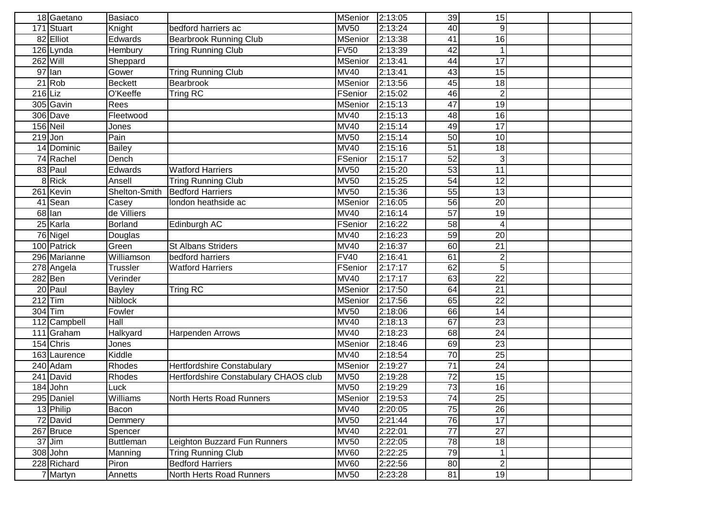|           | 18 Gaetano   | Basiaco        |                                       | <b>MSenior</b>                 | 2:13:05 | 39              | 15              |  |  |
|-----------|--------------|----------------|---------------------------------------|--------------------------------|---------|-----------------|-----------------|--|--|
|           | 171 Stuart   | Knight         | bedford harriers ac                   | <b>MV50</b>                    | 2:13:24 | 40              | $\mathsf{g}$    |  |  |
|           | 82 Elliot    | Edwards        | <b>Bearbrook Running Club</b>         | <b>MSenior</b>                 | 2:13:38 | 41              | 16              |  |  |
|           | 126 Lynda    | Hembury        | <b>Tring Running Club</b>             | <b>FV50</b>                    | 2:13:39 | 42              | 1               |  |  |
|           | $262$ Will   | Sheppard       |                                       | <b>MSenior</b>                 | 2:13:41 | 44              | $\overline{17}$ |  |  |
|           | $97$  lan    | Gower          | <b>Tring Running Club</b>             | <b>MV40</b>                    | 2:13:41 | 43              | 15              |  |  |
|           | $21$ Rob     | <b>Beckett</b> | Bearbrook                             | <b>MSenior</b>                 | 2:13:56 | 45              | 18              |  |  |
| $216$ Liz |              | O'Keeffe       | Tring RC                              | FSenior                        | 2:15:02 | 46              | $\overline{2}$  |  |  |
|           | 305 Gavin    | Rees           |                                       | <b>MSenior</b>                 | 2:15:13 | 47              | 19              |  |  |
|           | 306 Dave     | Fleetwood      |                                       | <b>MV40</b>                    | 2:15:13 | 48              | 16              |  |  |
|           | 156 Neil     | Jones          |                                       | <b>MV40</b>                    | 2:15:14 | $\overline{49}$ | $\overline{17}$ |  |  |
| $219$ Jon |              | Pain           |                                       | <b>MV50</b>                    | 2:15:14 | 50              | 10              |  |  |
|           | 14 Dominic   | Bailey         |                                       | <b>MV40</b>                    | 2:15:16 | $\overline{51}$ | 18              |  |  |
|           | 74 Rachel    | Dench          |                                       | FSenior                        | 2:15:17 | 52              | $\overline{3}$  |  |  |
|           | 83 Paul      | Edwards        | Watford Harriers                      | $\overline{M}$ V <sub>50</sub> | 2:15:20 | 53              | 11              |  |  |
|           | 8 Rick       | Ansell         | <b>Tring Running Club</b>             | <b>MV50</b>                    | 2:15:25 | 54              | 12              |  |  |
|           | 261 Kevin    | Shelton-Smith  | <b>Bedford Harriers</b>               | <b>MV50</b>                    | 2:15:36 | 55              | 13              |  |  |
|           | 41 Sean      | Casey          | london heathside ac                   | <b>MSenior</b>                 | 2:16:05 | 56              | 20              |  |  |
|           | 68 lan       | de Villiers    |                                       | <b>MV40</b>                    | 2:16:14 | $\overline{57}$ | 19              |  |  |
|           | 25 Karla     | Borland        | Edinburgh AC                          | FSenior                        | 2:16:22 | 58              | 4               |  |  |
|           | 76 Nigel     | Douglas        |                                       | <b>MV40</b>                    | 2:16:23 | 59              | 20              |  |  |
|           | 100 Patrick  | Green          | <b>St Albans Striders</b>             | <b>MV40</b>                    | 2:16:37 | 60              | $\overline{21}$ |  |  |
|           | 296 Marianne | Williamson     | bedford harriers                      | <b>FV40</b>                    | 2:16:41 | 61              | 2               |  |  |
|           | 278 Angela   | Trussler       | <b>Watford Harriers</b>               | FSenior                        | 2:17:17 | 62              | $\overline{5}$  |  |  |
|           | $282$ Ben    | Verinder       |                                       | <b>MV40</b>                    | 2:17:17 | 63              | $\overline{22}$ |  |  |
|           | 20 Paul      | <b>Bayley</b>  | Tring RC                              | <b>MSenior</b>                 | 2:17:50 | 64              | $\overline{21}$ |  |  |
|           | $212$ Tim    | <b>Niblock</b> |                                       | <b>MSenior</b>                 | 2:17:56 | 65              | 22              |  |  |
|           | 304 Tim      | Fowler         |                                       | <b>MV50</b>                    | 2:18:06 | 66              | 14              |  |  |
|           | 112 Campbell | Hall           |                                       | <b>MV40</b>                    | 2:18:13 | $\overline{67}$ | 23              |  |  |
|           | 111 Graham   | Halkyard       | <b>Harpenden Arrows</b>               | <b>MV40</b>                    | 2:18:23 | 68              | $\overline{24}$ |  |  |
|           | 154 Chris    | Jones          |                                       | <b>MSenior</b>                 | 2:18:46 | 69              | $\overline{23}$ |  |  |
|           | 163 Laurence | Kiddle         |                                       | <b>MV40</b>                    | 2:18:54 | 70              | 25              |  |  |
|           | 240 Adam     | Rhodes         | Hertfordshire Constabulary            | MSenior                        | 2:19:27 | 71              | 24              |  |  |
|           | 241 David    | Rhodes         | Hertfordshire Constabulary CHAOS club | <b>MV50</b>                    | 2:19:28 | 72              | 15              |  |  |
|           | 184 John     | Luck           |                                       | <b>MV50</b>                    | 2:19:29 | 73              | 16              |  |  |
|           | 295 Daniel   | Williams       | North Herts Road Runners              | <b>MSenior</b>                 | 2:19:53 | 74              | 25              |  |  |
|           | 13 Philip    | Bacon          |                                       | <b>MV40</b>                    | 2:20:05 | 75              | $\overline{26}$ |  |  |
|           | 72 David     | Demmery        |                                       | <b>MV50</b>                    | 2:21:44 | 76              | 17              |  |  |
|           | 267 Bruce    | Spencer        |                                       | <b>MV40</b>                    | 2:22:01 | $\overline{77}$ | $\overline{27}$ |  |  |
|           | $37$ Jim     | Buttleman      | Leighton Buzzard Fun Runners          | <b>MV50</b>                    | 2:22:05 | 78              | 18              |  |  |
|           | $308$ John   | Manning        | <b>Tring Running Club</b>             | <b>MV60</b>                    | 2:22:25 | 79              | 1 <sup>1</sup>  |  |  |
|           | 228 Richard  | Piron          | <b>Bedford Harriers</b>               | <b>MV60</b>                    | 2:22:56 | 80              | $\overline{2}$  |  |  |
|           | 7 Martyn     | Annetts        | North Herts Road Runners              | <b>MV50</b>                    | 2:23:28 | 81              | 19              |  |  |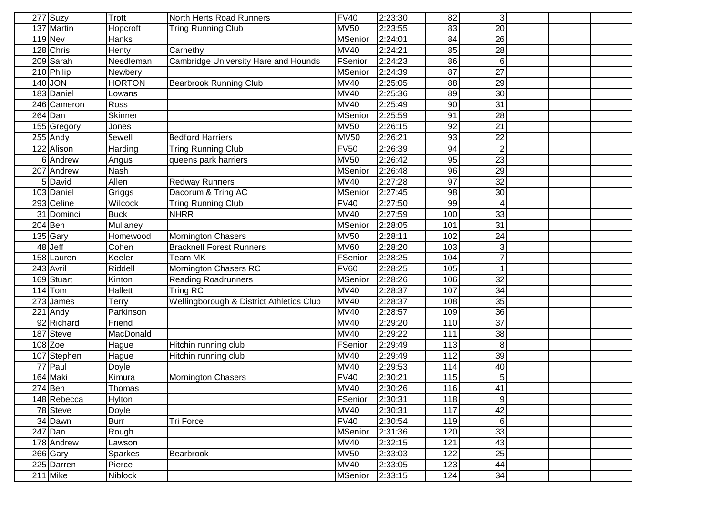| 277 Suzy             | Trott          | North Herts Road Runners                    | <b>FV40</b>    | 2:23:30 | 82              | 3               |  |  |
|----------------------|----------------|---------------------------------------------|----------------|---------|-----------------|-----------------|--|--|
| 137 Martin           | Hopcroft       | <b>Tring Running Club</b>                   | <b>MV50</b>    | 2:23:55 | 83              | $\overline{20}$ |  |  |
| $119$ Nev            | Hanks          |                                             | <b>MSenior</b> | 2:24:01 | 84              | $\overline{26}$ |  |  |
| 128 Chris            | <b>Henty</b>   | Carnethy                                    | <b>MV40</b>    | 2:24:21 | 85              | $\overline{28}$ |  |  |
| 209 Sarah            | Needleman      | <b>Cambridge University Hare and Hounds</b> | FSenior        | 2:24:23 | 86              | 6 <sup>1</sup>  |  |  |
| 210 Philip           | Newbery        |                                             | <b>MSenior</b> | 2:24:39 | $\overline{87}$ | $\overline{27}$ |  |  |
| 140 JON              | <b>HORTON</b>  | <b>Bearbrook Running Club</b>               | <b>MV40</b>    | 2:25:05 | 88              | 29              |  |  |
| 183 Daniel           | Lowans         |                                             | <b>MV40</b>    | 2:25:36 | 89              | 30              |  |  |
| 246 Cameron          | Ross           |                                             | <b>MV40</b>    | 2:25:49 | 90              | 31              |  |  |
| $\overline{264}$ Dan | Skinner        |                                             | <b>MSenior</b> | 2:25:59 | 91              | $\overline{28}$ |  |  |
| 155 Gregory          | Jones          |                                             | <b>MV50</b>    | 2:26:15 | 92              | 21              |  |  |
| $255$ Andy           | Sewell         | <b>Bedford Harriers</b>                     | <b>MV50</b>    | 2:26:21 | 93              | $\overline{22}$ |  |  |
| 122 Alison           | Harding        | <b>Tring Running Club</b>                   | <b>FV50</b>    | 2:26:39 | 94              | $\overline{2}$  |  |  |
| 6 Andrew             | Angus          | queens park harriers                        | <b>MV50</b>    | 2:26:42 | 95              | $\overline{23}$ |  |  |
| 207 Andrew           | <b>Nash</b>    |                                             | <b>MSenior</b> | 2:26:48 | 96              | 29              |  |  |
| 5 David              | Allen          | <b>Redway Runners</b>                       | <b>MV40</b>    | 2:27:28 | 97              | 32              |  |  |
| 103 Daniel           | Griggs         | Dacorum & Tring AC                          | <b>MSenior</b> | 2:27:45 | 98              | 30              |  |  |
| 293 Celine           | Wilcock        | <b>Tring Running Club</b>                   | <b>FV40</b>    | 2:27:50 | 99              |                 |  |  |
| 31 Dominci           | <b>Buck</b>    | <b>NHRR</b>                                 | <b>MV40</b>    | 2:27:59 | 100             | 33              |  |  |
| $204$ Ben            | Mullaney       |                                             | <b>MSenior</b> | 2:28:05 | 101             | $\overline{31}$ |  |  |
| 135 Gary             | Homewood       | Mornington Chasers                          | <b>MV50</b>    | 2:28:11 | 102             | 24              |  |  |
| 48 Jeff              | Cohen          | <b>Bracknell Forest Runners</b>             | <b>MV60</b>    | 2:28:20 | 103             | $\overline{3}$  |  |  |
| 158 Lauren           | Keeler         | <b>Team MK</b>                              | FSenior        | 2:28:25 | 104             | $\overline{7}$  |  |  |
| 243 Avril            | Riddell        | Mornington Chasers RC                       | <b>FV60</b>    | 2:28:25 | 105             | 1               |  |  |
| 169 Stuart           | Kinton         | <b>Reading Roadrunners</b>                  | <b>MSenior</b> | 2:28:26 | 10 <sub>6</sub> | $\overline{32}$ |  |  |
| $114$ Tom            | <b>Hallett</b> | Tring RC                                    | <b>MV40</b>    | 2:28:37 | 107             | $\overline{34}$ |  |  |
| 273 James            | Terry          | Wellingborough & District Athletics Club    | <b>MV40</b>    | 2:28:37 | 108             | 35              |  |  |
| $221$ Andy           | Parkinson      |                                             | <b>MV40</b>    | 2:28:57 | 109             | 36              |  |  |
| 92 Richard           | Friend         |                                             | <b>MV40</b>    | 2:29:20 | 110             | $\overline{37}$ |  |  |
| 187 Steve            | MacDonald      |                                             | <b>MV40</b>    | 2:29:22 | 111             | $\frac{3}{8}$   |  |  |
| $108$ Zoe            | Hague          | Hitchin running club                        | FSenior        | 2:29:49 | 113             | 8 <sup>1</sup>  |  |  |
| 107 Stephen          | Hague          | Hitchin running club                        | <b>MV40</b>    | 2:29:49 | 112             | 39              |  |  |
| 77 Paul              | Doyle          |                                             | <b>MV40</b>    | 2:29:53 | 114             | 40              |  |  |
| 164 Maki             | Kimura         | Mornington Chasers                          | <b>FV40</b>    | 2:30:21 | 115             | 5               |  |  |
| $274$ Ben            | Thomas         |                                             | <b>MV40</b>    | 2:30:26 | 116             | 41              |  |  |
| 148 Rebecca          | <b>Hylton</b>  |                                             | FSenior        | 2:30:31 | 118             | 9               |  |  |
| 78 Steve             | Doyle          |                                             | <b>MV40</b>    | 2:30:31 | 117             | 42              |  |  |
| 34 Dawn              | <b>Burr</b>    | Tri Force                                   | <b>FV40</b>    | 2:30:54 | 119             | 6               |  |  |
| $\overline{247}$ Dan | Rough          |                                             | <b>MSenior</b> | 2:31:36 | 120             | 33              |  |  |
| 178 Andrew           | Lawson         |                                             | <b>MV40</b>    | 2:32:15 | 121             | 43              |  |  |
| 266 Gary             | <b>Sparkes</b> | Bearbrook                                   | <b>MV50</b>    | 2:33:03 | 122             | 25              |  |  |
| 225 Darren           | Pierce         |                                             | <b>MV40</b>    | 2:33:05 | 123             | 44              |  |  |
| $211$ Mike           | Niblock        |                                             | <b>MSenior</b> | 2:33:15 | 124             | 34              |  |  |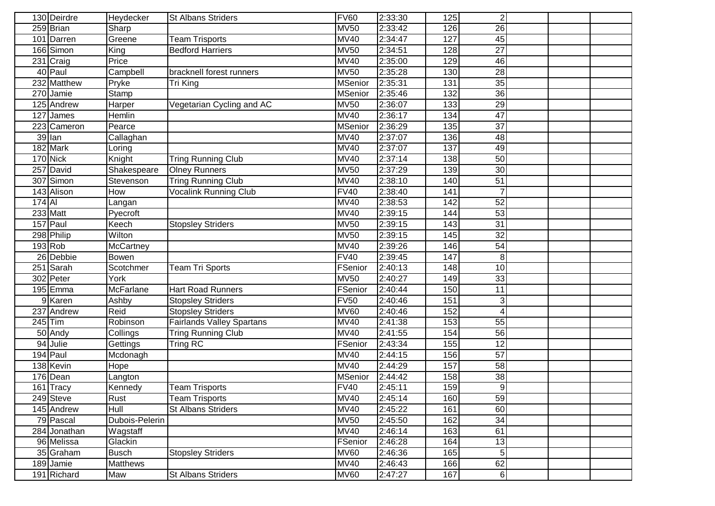|            | 130 Deirdre  | Heydecker        | <b>St Albans Striders</b>        | <b>FV60</b>       | 2:33:30 | 125 | $\mathbf{2}$            |  |  |
|------------|--------------|------------------|----------------------------------|-------------------|---------|-----|-------------------------|--|--|
|            | 259 Brian    | Sharp            |                                  | <b>MV50</b>       | 2:33:42 | 126 | 26                      |  |  |
|            | 101 Darren   | Greene           | <b>Team Trisports</b>            | <b>MV40</b>       | 2:34:47 | 127 | 45                      |  |  |
|            | 166 Simon    | King             | <b>Bedford Harriers</b>          | <b>MV50</b>       | 2:34:51 | 128 | $\overline{27}$         |  |  |
|            | 231 Craig    | Price            |                                  | <b>MV40</b>       | 2:35:00 | 129 | 46                      |  |  |
|            | 40 Paul      | Campbell         | bracknell forest runners         | <b>MV50</b>       | 2:35:28 | 130 | $\overline{28}$         |  |  |
|            | 232 Matthew  | Pryke            | Tri King                         | <b>MSenior</b>    | 2:35:31 | 131 | $\overline{35}$         |  |  |
|            | 270 Jamie    | Stamp            |                                  | <b>MSenior</b>    | 2:35:46 | 132 | $\overline{36}$         |  |  |
|            | 125 Andrew   | Harper           | Vegetarian Cycling and AC        | <b>MV50</b>       | 2:36:07 | 133 | 29                      |  |  |
| 127        | James        | Hemlin           |                                  | <b>MV40</b>       | 2:36:17 | 134 | 47                      |  |  |
|            | 223 Cameron  | Pearce           |                                  | <b>MSenior</b>    | 2:36:29 | 135 | $\overline{37}$         |  |  |
|            | 39 lan       | Callaghan        |                                  | <b>MV40</b>       | 2:37:07 | 136 | 48                      |  |  |
|            | 182 Mark     | Loring           |                                  | <b>MV40</b>       | 2:37:07 | 137 | 49                      |  |  |
|            | $170$ Nick   | Knight           | <b>Tring Running Club</b>        | <b>MV40</b>       | 2:37:14 | 138 | 50                      |  |  |
|            | 257 David    | Shakespeare      | <b>Olney Runners</b>             | <b>MV50</b>       | 2:37:29 | 139 | 30                      |  |  |
|            | 307 Simon    | Stevenson        | <b>Tring Running Club</b>        | <b>MV40</b>       | 2:38:10 | 140 | 51                      |  |  |
|            | 143 Alison   | How              | <b>Vocalink Running Club</b>     | <b>FV40</b>       | 2:38:40 | 141 | 7                       |  |  |
| $174$ $Al$ |              | Langan           |                                  | <b>MV40</b>       | 2:38:53 | 142 | $\overline{52}$         |  |  |
|            | 233 Matt     | Pyecroft         |                                  | <b>MV40</b>       | 2:39:15 | 144 | 53                      |  |  |
|            | 157 Paul     | Keech            | <b>Stopsley Striders</b>         | <b>MV50</b>       | 2:39:15 | 143 | 31                      |  |  |
|            | 298 Philip   | Wilton           |                                  | <b>MV50</b>       | 2:39:15 | 145 | 32                      |  |  |
|            | 193 Rob      | <b>McCartney</b> |                                  | <b>MV40</b>       | 2:39:26 | 146 | 54                      |  |  |
|            | 26 Debbie    | Bowen            |                                  | <b>FV40</b>       | 2:39:45 | 147 | 8 <sup>1</sup>          |  |  |
|            | 251 Sarah    | Scotchmer        | <b>Team Tri Sports</b>           | FSenior           | 2:40:13 | 148 | 10                      |  |  |
|            | 302 Peter    | York             |                                  | <b>MV50</b>       | 2:40:27 | 149 | 33                      |  |  |
|            | $195$ Emma   | McFarlane        | <b>Hart Road Runners</b>         | FSenior           | 2:40:44 | 150 | 11                      |  |  |
| 9          | Karen        | Ashby            | <b>Stopsley Striders</b>         | $\overline{F}V50$ | 2:40:46 | 151 | $\overline{\mathbf{3}}$ |  |  |
|            | 237 Andrew   | Reid             | <b>Stopsley Striders</b>         | <b>MV60</b>       | 2:40:46 | 152 | 4                       |  |  |
| $245$ Tim  |              | Robinson         | <b>Fairlands Valley Spartans</b> | <b>MV40</b>       | 2:41:38 | 153 | 55                      |  |  |
|            | 50 Andy      | Collings         | <b>Tring Running Club</b>        | <b>MV40</b>       | 2:41:55 | 154 | $\overline{56}$         |  |  |
|            | 94 Julie     | Gettings         | Tring RC                         | FSenior           | 2:43:34 | 155 | 12                      |  |  |
|            | $194$ Paul   | Mcdonagh         |                                  | <b>MV40</b>       | 2:44:15 | 156 | $\overline{57}$         |  |  |
|            | 138 Kevin    | Hope             |                                  | <b>MV40</b>       | 2:44:29 | 157 | 58                      |  |  |
|            | 176 Dean     | Langton          |                                  | <b>MSenior</b>    | 2:44:42 | 158 | $\frac{3}{8}$           |  |  |
|            | 161 Tracy    | Kennedy          | <b>Team Trisports</b>            | <b>FV40</b>       | 2:45:11 | 159 | $\overline{9}$          |  |  |
|            | 249 Steve    | Rust             | <b>Team Trisports</b>            | <b>MV40</b>       | 2:45:14 | 160 | 59                      |  |  |
|            | 145 Andrew   | <b>Hull</b>      | <b>St Albans Striders</b>        | <b>MV40</b>       | 2:45:22 | 161 | 60                      |  |  |
|            | 79 Pascal    | Dubois-Pelerin   |                                  | <b>MV50</b>       | 2:45:50 | 162 | $\overline{34}$         |  |  |
|            | 284 Jonathan | Wagstaff         |                                  | <b>MV40</b>       | 2:46:14 | 163 | 61                      |  |  |
|            | 96 Melissa   | Glackin          |                                  | FSenior           | 2:46:28 | 164 | 13                      |  |  |
|            | 35 Graham    | <b>Busch</b>     | <b>Stopsley Striders</b>         | <b>MV60</b>       | 2:46:36 | 165 | 5 <sup>1</sup>          |  |  |
|            | 189 Jamie    | <b>Matthews</b>  |                                  | <b>MV40</b>       | 2:46:43 | 166 | 62                      |  |  |
|            | 191 Richard  | Maw              | St Albans Striders               | <b>MV60</b>       | 2:47:27 | 167 | $6 \mid$                |  |  |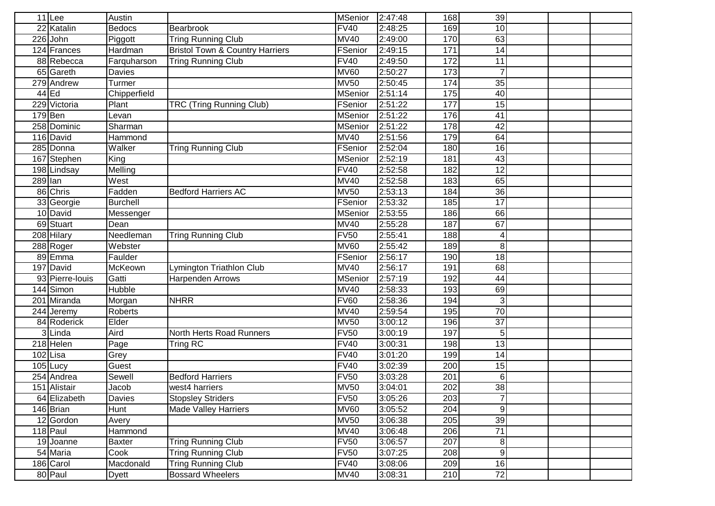| $11$ Lee     |                 | Austin        |                                            | MSenior        | 2:47:48 | 168 | 39              |  |  |
|--------------|-----------------|---------------|--------------------------------------------|----------------|---------|-----|-----------------|--|--|
| 22 Katalin   |                 | <b>Bedocs</b> | Bearbrook                                  | <b>FV40</b>    | 2:48:25 | 169 | 10              |  |  |
| 226<br>John  |                 | Piggott       | <b>Tring Running Club</b>                  | <b>MV40</b>    | 2:49:00 | 170 | 63              |  |  |
| 124 Frances  |                 | Hardman       | <b>Bristol Town &amp; Country Harriers</b> | FSenior        | 2:49:15 | 171 | 14              |  |  |
| 88 Rebecca   |                 | Farquharson   | <b>Tring Running Club</b>                  | FV40           | 2:49:50 | 172 | 11              |  |  |
| 65 Gareth    |                 | <b>Davies</b> |                                            | <b>MV60</b>    | 2:50:27 | 173 |                 |  |  |
| 279 Andrew   |                 | Turmer        |                                            | <b>MV50</b>    | 2:50:45 | 174 | 35              |  |  |
| $44$ Ed      |                 | Chipperfield  |                                            | <b>MSenior</b> | 2:51:14 | 175 | 40              |  |  |
| 229 Victoria |                 | Plant         | TRC (Tring Running Club)                   | FSenior        | 2:51:22 | 177 | $\overline{15}$ |  |  |
| $179$ Ben    |                 | _evan         |                                            | <b>MSenior</b> | 2:51:22 | 176 | 41              |  |  |
| 258 Dominic  |                 | Sharman       |                                            | <b>MSenior</b> | 2:51:22 | 178 | $\overline{42}$ |  |  |
| 116 David    |                 | Hammond       |                                            | <b>MV40</b>    | 2:51:56 | 179 | 64              |  |  |
| 285 Donna    |                 | Walker        | <b>Tring Running Club</b>                  | FSenior        | 2:52:04 | 180 | 16              |  |  |
| 167 Stephen  |                 | King          |                                            | <b>MSenior</b> | 2:52:19 | 181 | 43              |  |  |
| 198 Lindsay  |                 | Melling       |                                            | <b>FV40</b>    | 2:52:58 | 182 | $\overline{12}$ |  |  |
| $289$  lan   |                 | West          |                                            | <b>MV40</b>    | 2:52:58 | 183 | 65              |  |  |
| 86 Chris     |                 | Fadden        | <b>Bedford Harriers AC</b>                 | <b>MV50</b>    | 2:53:13 | 184 | 36              |  |  |
| 33 Georgie   |                 | Burchell      |                                            | FSenior        | 2:53:32 | 185 | $\overline{17}$ |  |  |
| 10 David     |                 | Messenger     |                                            | <b>MSenior</b> | 2:53:55 | 186 | 66              |  |  |
| 69 Stuart    |                 | Dean          |                                            | <b>MV40</b>    | 2:55:28 | 187 | 67              |  |  |
| 208 Hilary   |                 | Needleman     | <b>Tring Running Club</b>                  | <b>FV50</b>    | 2:55:41 | 188 | 4               |  |  |
| 288 Roger    |                 | Webster       |                                            | <b>MV60</b>    | 2:55:42 | 189 | $\bf{8}$        |  |  |
| 89 Emma      |                 | Faulder       |                                            | FSenior        | 2:56:17 | 190 | 18              |  |  |
| 197 David    |                 | McKeown       | Lymington Triathlon Club                   | <b>MV40</b>    | 2:56:17 | 191 | 68              |  |  |
|              | 93 Pierre-louis | Gatti         | <b>Harpenden Arrows</b>                    | <b>MSenior</b> | 2:57:19 | 192 | 44              |  |  |
| 144 Simon    |                 | Hubble        |                                            | <b>MV40</b>    | 2:58:33 | 193 | 69              |  |  |
| 201 Miranda  |                 | Morgan        | <b>NHRR</b>                                | <b>FV60</b>    | 2:58:36 | 194 | $\overline{3}$  |  |  |
| 244 Jeremy   |                 | Roberts       |                                            | <b>MV40</b>    | 2:59:54 | 195 | $\overline{70}$ |  |  |
| 84 Roderick  |                 | Elder         |                                            | <b>MV50</b>    | 3:00:12 | 196 | $\overline{37}$ |  |  |
| 3Linda       |                 | Aird          | North Herts Road Runners                   | <b>FV50</b>    | 3:00:19 | 197 | 5 <sup>1</sup>  |  |  |
| 218 Helen    |                 | Page          | Tring $R\overline{C}$                      | <b>FV40</b>    | 3:00:31 | 198 | 13              |  |  |
| 102 Lisa     |                 | Grey          |                                            | <b>FV40</b>    | 3:01:20 | 199 | 14              |  |  |
| $105$ Lucy   |                 | Guest         |                                            | <b>FV40</b>    | 3:02:39 | 200 | 15              |  |  |
| 254 Andrea   |                 | Sewell        | <b>Bedford Harriers</b>                    | <b>FV50</b>    | 3:03:28 | 201 | 6 <sup>1</sup>  |  |  |
| 151 Alistair |                 | Jacob         | west4 harriers                             | <b>MV50</b>    | 3:04:01 | 202 | $\overline{38}$ |  |  |
| 64 Elizabeth |                 | Davies        | <b>Stopsley Striders</b>                   | <b>FV50</b>    | 3:05:26 | 203 | 7               |  |  |
| 146 Brian    |                 | Hunt          | <b>Made Valley Harriers</b>                | <b>MV60</b>    | 3:05:52 | 204 | $\overline{9}$  |  |  |
| 12 Gordon    |                 | Avery         |                                            | <b>MV50</b>    | 3:06:38 | 205 | 39              |  |  |
| $118$ Paul   |                 | Hammond       |                                            | <b>MV40</b>    | 3:06:48 | 206 | $\overline{71}$ |  |  |
| 19 Joanne    |                 | Baxter        | <b>Tring Running Club</b>                  | <b>FV50</b>    | 3:06:57 | 207 | 8 <sup>1</sup>  |  |  |
| 54 Maria     |                 | Cook          | <b>Tring Running Club</b>                  | <b>FV50</b>    | 3:07:25 | 208 | 9               |  |  |
| 186 Carol    |                 | Macdonald     | <b>Tring Running Club</b>                  | <b>FV40</b>    | 3:08:06 | 209 | 16              |  |  |
| 80 Paul      |                 | Dyett         | <b>Bossard Wheelers</b>                    | <b>MV40</b>    | 3:08:31 | 210 | 72              |  |  |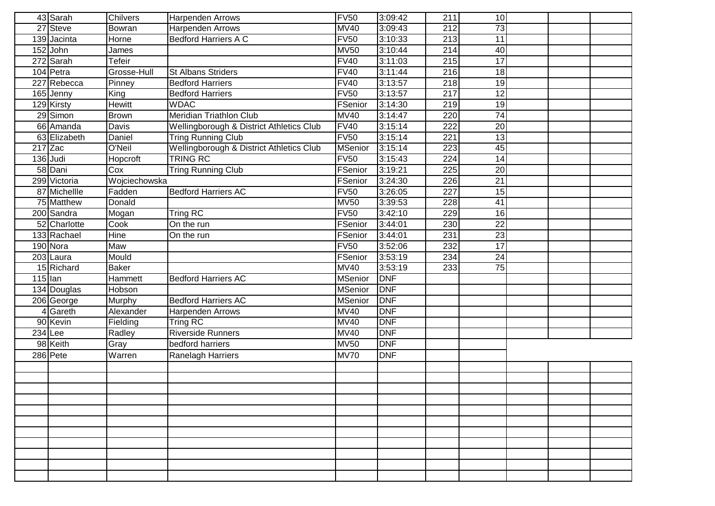|                      | 43 Sarah     | <b>Chilvers</b> | Harpenden Arrows                         | <b>FV50</b>    | 3:09:42    | 211              | 10 <sup>1</sup> |  |  |
|----------------------|--------------|-----------------|------------------------------------------|----------------|------------|------------------|-----------------|--|--|
| 27                   | Steve        | Bowran          | Harpenden Arrows                         | <b>MV40</b>    | 3:09:43    | 212              | 73              |  |  |
|                      | 139 Jacinta  | Horne           | <b>Bedford Harriers A C</b>              | <b>FV50</b>    | 3:10:33    | 213              | 11              |  |  |
|                      | $152$ John   | James           |                                          | <b>MV50</b>    | 3:10:44    | $\overline{214}$ | 40              |  |  |
|                      | 272 Sarah    | Tefeir          |                                          | <b>FV40</b>    | 3:11:03    | 215              | $\overline{17}$ |  |  |
|                      | 104 Petra    | Grosse-Hull     | <b>St Albans Striders</b>                | FV40           | 3:11:44    | 216              | 18              |  |  |
|                      | 227 Rebecca  | Pinney          | <b>Bedford Harriers</b>                  | <b>FV40</b>    | 3:13:57    | 218              | 19              |  |  |
|                      | 165 Jenny    | King            | <b>Bedford Harriers</b>                  | <b>FV50</b>    | 3:13:57    | $\overline{217}$ | $\overline{12}$ |  |  |
|                      | 129 Kirsty   | <b>Hewitt</b>   | <b>WDAC</b>                              | FSenior        | 3:14:30    | 219              | 19              |  |  |
|                      | 29 Simon     | <b>Brown</b>    | Meridian Triathlon Club                  | <b>MV40</b>    | 3:14:47    | 220              | $\overline{74}$ |  |  |
|                      | 66 Amanda    | Davis           | Wellingborough & District Athletics Club | <b>FV40</b>    | 3:15:14    | 222              | $\overline{20}$ |  |  |
|                      | 63 Elizabeth | Daniel          | <b>Tring Running Club</b>                | <b>FV50</b>    | 3:15:14    | 221              | 13              |  |  |
|                      | $217$ Zac    | O'Neil          | Wellingborough & District Athletics Club | <b>MSenior</b> | 3:15:14    | 223              | 45              |  |  |
|                      | $136$ Judi   | Hopcroft        | <b>TRING RC</b>                          | <b>FV50</b>    | 3:15:43    | 224              | 14              |  |  |
|                      | 58 Dani      | Cox             | <b>Tring Running Club</b>                | FSenior        | 3:19:21    | 225              | 20              |  |  |
|                      | 299 Victoria | Wojciechowska   |                                          | FSenior        | 3:24:30    | 226              | $\overline{21}$ |  |  |
|                      | 87 Michellle | Fadden          | <b>Bedford Harriers AC</b>               | <b>FV50</b>    | 3:26:05    | 227              | 15              |  |  |
|                      | 75 Matthew   | Donald          |                                          | <b>MV50</b>    | 3:39:53    | 228              | 41              |  |  |
|                      | 200 Sandra   | Mogan           | Tring RC                                 | <b>FV50</b>    | 3:42:10    | 229              | 16              |  |  |
|                      | 52 Charlotte | Cook            | On the run                               | FSenior        | 3:44:01    | 230              | 22              |  |  |
|                      | 133 Rachael  | Hine            | On the run                               | FSenior        | 3:44:01    | 231              | 23              |  |  |
|                      | 190 Nora     | Maw             |                                          | <b>FV50</b>    | 3:52:06    | 232              | 17              |  |  |
|                      | 203 Laura    | Mould           |                                          | FSenior        | 3:53:19    | 234              | 24              |  |  |
|                      | 15 Richard   | Baker           |                                          | <b>MV40</b>    | 3:53:19    | 233              | 75              |  |  |
| $\overline{115}$ lan |              | Hammett         | <b>Bedford Harriers AC</b>               | <b>MSenior</b> | DNF        |                  |                 |  |  |
|                      | 134 Douglas  | Hobson          |                                          | <b>MSenior</b> | <b>DNF</b> |                  |                 |  |  |
|                      | 206 George   | Murphy          | <b>Bedford Harriers AC</b>               | <b>MSenior</b> | DNF        |                  |                 |  |  |
|                      | 4 Gareth     | Alexander       | Harpenden Arrows                         | <b>MV40</b>    | <b>DNF</b> |                  |                 |  |  |
|                      | 90 Kevin     | Fielding        | Tring RC                                 | <b>MV40</b>    | <b>DNF</b> |                  |                 |  |  |
|                      | $234$ Lee    | Radley          | <b>Riverside Runners</b>                 | <b>MV40</b>    | <b>DNF</b> |                  |                 |  |  |
|                      | 98 Keith     | Gray            | bedford harriers                         | <b>MV50</b>    | <b>DNF</b> |                  |                 |  |  |
|                      | 286 Pete     | Warren          | Ranelagh Harriers                        | <b>MV70</b>    | <b>DNF</b> |                  |                 |  |  |
|                      |              |                 |                                          |                |            |                  |                 |  |  |
|                      |              |                 |                                          |                |            |                  |                 |  |  |
|                      |              |                 |                                          |                |            |                  |                 |  |  |
|                      |              |                 |                                          |                |            |                  |                 |  |  |
|                      |              |                 |                                          |                |            |                  |                 |  |  |
|                      |              |                 |                                          |                |            |                  |                 |  |  |
|                      |              |                 |                                          |                |            |                  |                 |  |  |
|                      |              |                 |                                          |                |            |                  |                 |  |  |
|                      |              |                 |                                          |                |            |                  |                 |  |  |
|                      |              |                 |                                          |                |            |                  |                 |  |  |
|                      |              |                 |                                          |                |            |                  |                 |  |  |